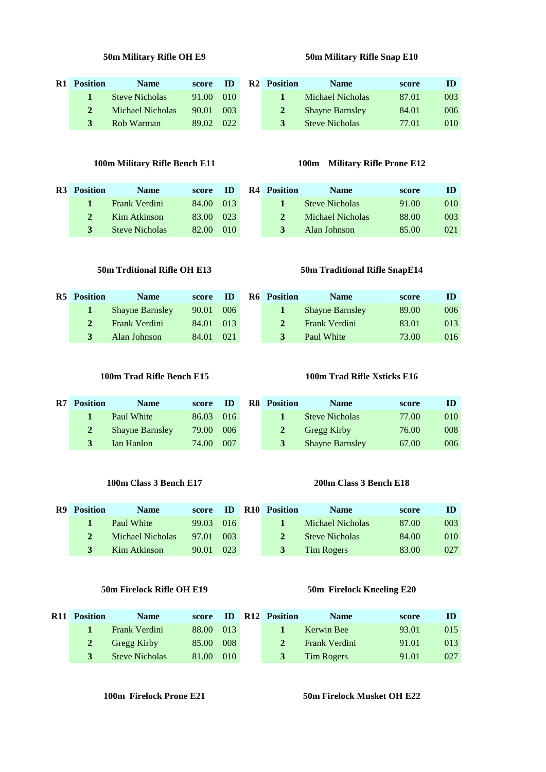#### **50m Military Rifle OH E9 50m Military Rifle Snap E10**

| R1 | <b>Position</b> | <b>Name</b>           | score     | - ID | R <sub>2</sub> Position | <b>Name</b>            | score | ID               |
|----|-----------------|-----------------------|-----------|------|-------------------------|------------------------|-------|------------------|
|    |                 | <b>Steve Nicholas</b> | 91.00 010 |      |                         | Michael Nicholas       | 87.01 | 003 <sup>2</sup> |
|    |                 | Michael Nicholas      | 90.01     | -003 |                         | <b>Shayne Barnsley</b> | 84.01 | 006              |
|    |                 | Rob Warman            | 89.02 022 |      |                         | <b>Steve Nicholas</b>  | 77.01 | 010              |

#### **100m Military Rifle Bench E11 100m Military Rifle Prone E12**

| R <sub>3</sub> Position | <b>Name</b>           | score ID  |  | <b>R4</b> Position | <b>Name</b>      | score | ID  |
|-------------------------|-----------------------|-----------|--|--------------------|------------------|-------|-----|
|                         | <b>Frank Verdini</b>  | 84.00 013 |  |                    | Steve Nicholas   | 91.00 | 010 |
|                         | Kim Atkinson          | 83.00 023 |  |                    | Michael Nicholas | 88.00 | 003 |
| $\mathbf{R}$            | <b>Steve Nicholas</b> | 82.00 010 |  | $\mathbf{R}$       | Alan Johnson     | 85.00 | 021 |

#### **50m Trditional Rifle OH E13 50m Traditional Rifle SnapE14**

| <b>R5</b> Position | <b>Name</b>            | score     | <b>ID</b> | <b>R6</b> Position | <b>Name</b>            | score | ID  |
|--------------------|------------------------|-----------|-----------|--------------------|------------------------|-------|-----|
|                    | <b>Shayne Barnsley</b> | 90.01     | -006-     |                    | <b>Shayne Barnsley</b> | 89.00 | 006 |
|                    | <b>Frank Verdini</b>   | 84.01 013 |           |                    | <b>Frank Verdini</b>   | 83.01 | 013 |
|                    | Alan Johnson           | 84.01 021 |           |                    | Paul White             | 73.00 | 016 |

#### **100m Trad Rifle Bench E15 100m Trad Rifle Xsticks E16**

| <b>R7</b> Position | <b>Name</b>            | score <b>ID</b> |     | R8 | <b>Position</b> | <b>Name</b>            | score | ID  |
|--------------------|------------------------|-----------------|-----|----|-----------------|------------------------|-------|-----|
|                    | Paul White             | 86.03 016       |     |    |                 | Steve Nicholas         | 77.00 | 010 |
|                    | <b>Shavne Barnsley</b> | 79.00 006       |     |    |                 | <b>Gregg Kirby</b>     | 76.00 | 008 |
|                    | Ian Hanlon             | 74.00           | 007 |    |                 | <b>Shayne Barnsley</b> | 67.00 | 006 |

#### **100m Class 3 Bench E17 200m Class 3 Bench E18**

| R9 | <b>Position</b> | <b>Name</b>      | score     | -ID-  | R <sub>10</sub> Position | <b>Name</b>           | score | ID  |
|----|-----------------|------------------|-----------|-------|--------------------------|-----------------------|-------|-----|
|    | Т.              | Paul White       | 99.03 016 |       |                          | Michael Nicholas      | 87.00 | 003 |
|    | 2               | Michael Nicholas | 97.01     | - 003 |                          | <b>Steve Nicholas</b> | 84.00 | 010 |
|    | $\mathbf{3}$    | Kim Atkinson     | 90.01 023 |       | 3                        | Tim Rogers            | 83.00 | 027 |

#### **50m Firelock Rifle OH E19 50m Firelock Kneeling E20**

| <b>R11 Position</b> | <b>Name</b>           | score |       | <b>ID R12 Position</b> | <b>Name</b>          | score | ID  |
|---------------------|-----------------------|-------|-------|------------------------|----------------------|-------|-----|
| 1.                  | <b>Frank Verdini</b>  | 88.00 | 013   |                        | Kerwin Bee           | 93.01 | 015 |
| $2^{\circ}$         | <b>Gregg Kirby</b>    | 85.00 | 008   |                        | <b>Frank Verdini</b> | 91.01 | 013 |
| 3                   | <b>Steve Nicholas</b> | 81.00 | - 010 | 3                      | Tim Rogers           | 91.01 | 027 |

#### **100m Firelock Prone E21 50m Firelock Musket OH E22**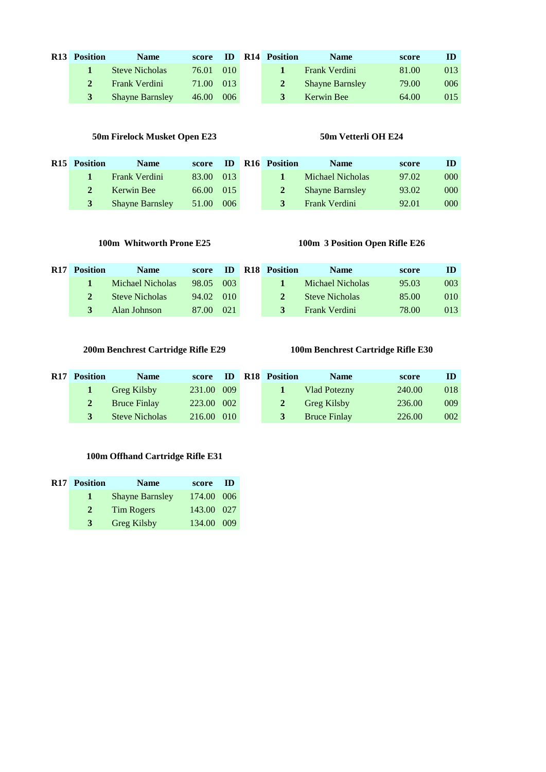| R <sub>13</sub> Position | <b>Name</b>            | score     | <b>ID</b> | R <sub>14</sub> Position | <b>Name</b>            | score | ID  |
|--------------------------|------------------------|-----------|-----------|--------------------------|------------------------|-------|-----|
| $\mathbf{1}$             | <b>Steve Nicholas</b>  | 76.01     | -010      |                          | <b>Frank Verdini</b>   | 81.00 | 013 |
| $2^{\circ}$              | <b>Frank Verdini</b>   | 71.00 013 |           |                          | <b>Shayne Barnsley</b> | 79.00 | 006 |
| 3                        | <b>Shayne Barnsley</b> | 46.00     | 006       | 3                        | Kerwin Bee             | 64.00 | 015 |

### **50m Firelock Musket Open E23 50m Vetterli OH E24**

| R <sub>15</sub> Position | <b>Name</b>            |           |       | score ID R16 Position | <b>Name</b>            | score | ID  |
|--------------------------|------------------------|-----------|-------|-----------------------|------------------------|-------|-----|
| $\mathbf{1}$             | Frank Verdini          | 83.00 013 |       |                       | Michael Nicholas       | 97.02 | 000 |
| 2                        | Kerwin Bee             | 66.00 015 |       |                       | <b>Shayne Barnsley</b> | 93.02 | 000 |
| 3                        | <b>Shayne Barnsley</b> | 51.00     | - 006 |                       | Frank Verdini          | 92.01 | 000 |

### **100m Whitworth Prone E25 100m 3 Position Open Rifle E26**

| R <sub>17</sub> Position | <b>Name</b>           | score     |       | <b>ID R18 Position</b> | <b>Name</b>           | score | Ш   |
|--------------------------|-----------------------|-----------|-------|------------------------|-----------------------|-------|-----|
| $\mathbf{1}$             | Michael Nicholas      | 98.05     | - 003 |                        | Michael Nicholas      | 95.03 | 003 |
| $2^{\circ}$              | <b>Steve Nicholas</b> | 94.02 010 |       |                        | <b>Steve Nicholas</b> | 85.00 | 010 |
| $\mathbf{R}$             | Alan Johnson          | 87.00     | 021   |                        | Frank Verdini         | 78.00 | 013 |

### **200m Benchrest Cartridge Rifle E29 100m Benchrest Cartridge Rifle E30**

| R <sub>17</sub> Position | <b>Name</b>           | score      | ID | <b>R18</b> Position | <b>Name</b>         | score  | ID  |
|--------------------------|-----------------------|------------|----|---------------------|---------------------|--------|-----|
| $1 -$                    | <b>Greg Kilsby</b>    | 231.00 009 |    |                     | Vlad Potezny        | 240.00 | 018 |
| $2^{\circ}$              | <b>Bruce Finlay</b>   | 223.00 002 |    |                     | <b>Greg Kilsby</b>  | 236.00 | 009 |
| 3                        | <b>Steve Nicholas</b> | 216.00 010 |    | 3                   | <b>Bruce Finlay</b> | 226.00 | 002 |

### **100m Offhand Cartridge Rifle E31**

| R <sub>17</sub> Position | <b>Name</b>            | score      | -ID |
|--------------------------|------------------------|------------|-----|
| $\mathbf{1}$             | <b>Shayne Barnsley</b> | 174.00 006 |     |
| $\mathbf{2}$             | Tim Rogers             | 143.00 027 |     |
| $3^-$                    | <b>Greg Kilsby</b>     | 134.00 009 |     |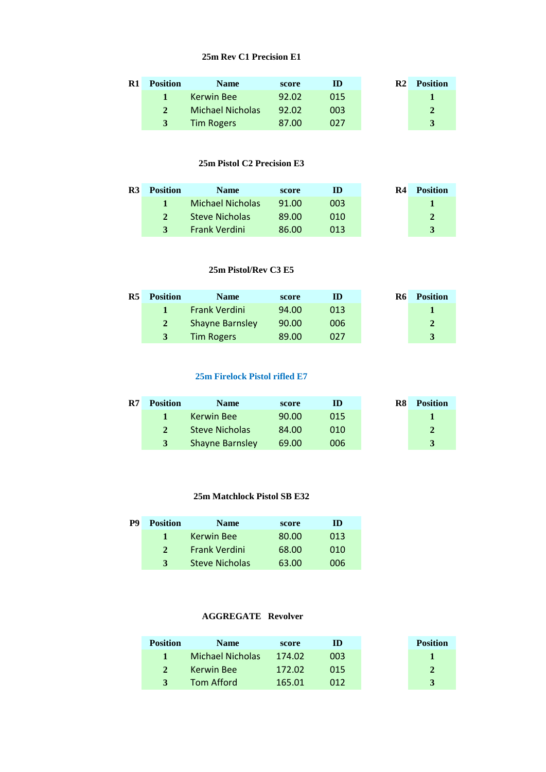### **25m Rev C1 Precision E1 25m Rev C1 Timed E2**

| $\mathbf{R}1$ | <b>Position</b> | <b>Name</b>       | score | ID  | R2 | <b>Position</b> |
|---------------|-----------------|-------------------|-------|-----|----|-----------------|
|               | л.              | <b>Kerwin Bee</b> | 92.02 | 015 |    |                 |
|               | $\mathbf{2}$    | Michael Nicholas  | 92.02 | 003 |    | $\mathbf{2}$    |
|               | 3               | <b>Tim Rogers</b> | 87.00 | 027 |    | 3               |

#### **25m Pistol C2 Precision E3 25m Pistol C2 Timed E4**

| R <sub>3</sub> | <b>Position</b> | <b>Name</b>           | score | ID  | R4 | <b>Position</b> |
|----------------|-----------------|-----------------------|-------|-----|----|-----------------|
|                | $\mathbf{1}$    | Michael Nicholas      | 91.00 | 003 |    |                 |
|                | $2^{\circ}$     | <b>Steve Nicholas</b> | 89.00 | 010 |    | $\mathbf{2}$    |
|                | 3               | <b>Frank Verdini</b>  | 86.00 | 013 |    | 3               |

## **25m Pistol/Rev C3 E5 50m Pistol/Rev C3 E6**

| R5 | <b>Position</b> | <b>Name</b>            | score | ID  | R6. | <b>Position</b> |
|----|-----------------|------------------------|-------|-----|-----|-----------------|
|    |                 | <b>Frank Verdini</b>   | 94.00 | 013 |     |                 |
|    |                 | <b>Shayne Barnsley</b> | 90.00 | 006 |     | 2               |
|    | $\mathbf{3}$    | <b>Tim Rogers</b>      | 89.00 | 027 |     | 3               |

### **25m Firelock Pistol rifled E7 25m Firelock Pistol SB E8**

| R7 | <b>Position</b> | <b>Name</b>            | score | ID  | R8 | <b>Position</b> |
|----|-----------------|------------------------|-------|-----|----|-----------------|
|    | 1.              | <b>Kerwin Bee</b>      | 90.00 | 015 |    |                 |
|    | $\mathbf{2}$    | <b>Steve Nicholas</b>  | 84.00 | 010 |    | $\mathbf{2}$    |
|    | 3               | <b>Shayne Barnsley</b> | 69.00 | 006 |    | 3               |

#### **25m Matchlock Pistol SB E32**

| P9 | <b>Position</b> | <b>Name</b>          | score | ID  |
|----|-----------------|----------------------|-------|-----|
|    |                 | <b>Kerwin Bee</b>    | 80.00 | 013 |
|    | 2               | <b>Frank Verdini</b> | 68.00 | 010 |
|    | 3               | Steve Nicholas       | 63.00 | 006 |

## **AGGREGATE Revolver**

| <b>Position</b> | <b>Name</b>       | score  | m   | <b>Position</b> |
|-----------------|-------------------|--------|-----|-----------------|
|                 | Michael Nicholas  | 174.02 | 003 |                 |
|                 | <b>Kerwin Bee</b> | 172.02 | 015 | 2               |
|                 | Tom Afford        | 165.01 | 012 | 3               |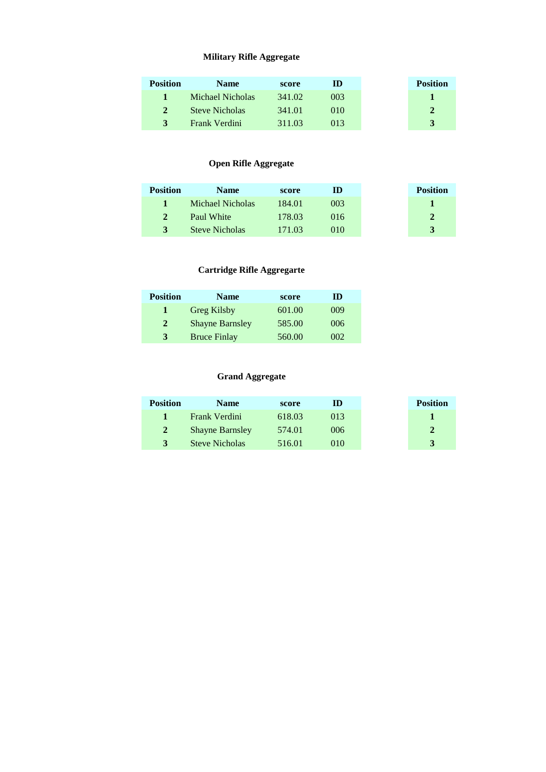# **Military Rifle Aggregate**

| <b>Position</b> | <b>Name</b>           | score  | m   | <b>Position</b> |
|-----------------|-----------------------|--------|-----|-----------------|
|                 | Michael Nicholas      | 341.02 | 003 |                 |
| $2^{\circ}$     | <b>Steve Nicholas</b> | 341.01 | 010 |                 |
| 3               | Frank Verdini         | 311.03 | 013 |                 |

# **Open Rifle Aggregate**

| <b>Position</b> | <b>Name</b>           | score  | Ш   | <b>Position</b> |
|-----------------|-----------------------|--------|-----|-----------------|
|                 | Michael Nicholas      | 184.01 | 003 |                 |
|                 | Paul White            | 178.03 | 016 |                 |
|                 | <b>Steve Nicholas</b> | 171.03 | 010 |                 |

# **Cartridge Rifle Aggregarte**

| <b>Position</b><br><b>Name</b> |                        | score  | ID  |
|--------------------------------|------------------------|--------|-----|
|                                | <b>Greg Kilsby</b>     | 601.00 | 009 |
| 2                              | <b>Shayne Barnsley</b> | 585.00 | 006 |
| 3                              | <b>Bruce Finlay</b>    | 560.00 | 002 |

## **Grand Aggregate**

| <b>Position</b> | <b>Name</b>            | score  | ID  | <b>Position</b> |
|-----------------|------------------------|--------|-----|-----------------|
| A 1             | Frank Verdini          | 618.03 | 013 |                 |
| 2 <sup>1</sup>  | <b>Shayne Barnsley</b> | 574.01 | 006 |                 |
| 3               | <b>Steve Nicholas</b>  | 516.01 | 010 | 3               |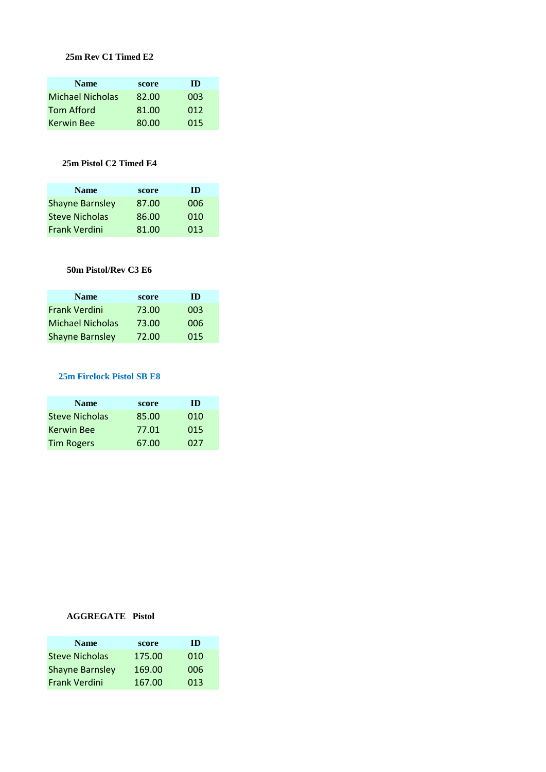## **25m Rev C1 Timed E2**

| <b>Name</b>       | score | ID  |
|-------------------|-------|-----|
| Michael Nicholas  | 82.00 | 003 |
| <b>Tom Afford</b> | 81.00 | 012 |
| <b>Kerwin Bee</b> | 80.00 | 015 |

### **25m Pistol C2 Timed E4**

| <b>Name</b>            | score | m   |
|------------------------|-------|-----|
| <b>Shayne Barnsley</b> | 87.00 | 006 |
| <b>Steve Nicholas</b>  | 86.00 | 010 |
| Frank Verdini          | 81.00 | 013 |

### **50m Pistol/Rev C3 E6**

| <b>Name</b>             | score | m   |
|-------------------------|-------|-----|
| <b>Frank Verdini</b>    | 73.00 | 003 |
| <b>Michael Nicholas</b> | 73.00 | 006 |
| <b>Shayne Barnsley</b>  | 72.00 | 015 |

#### **25m Firelock Pistol SB E8**

| <b>Name</b>       | score | m   |
|-------------------|-------|-----|
| Steve Nicholas    | 85.00 | 010 |
| <b>Kerwin Bee</b> | 77.01 | 015 |
| <b>Tim Rogers</b> | 67.00 | 027 |

#### **AGGREGATE Pistol**

| <b>Name</b>            | score  | m   |
|------------------------|--------|-----|
| <b>Steve Nicholas</b>  | 175.00 | 010 |
| <b>Shayne Barnsley</b> | 169.00 | 006 |
| <b>Frank Verdini</b>   | 167.00 | 013 |